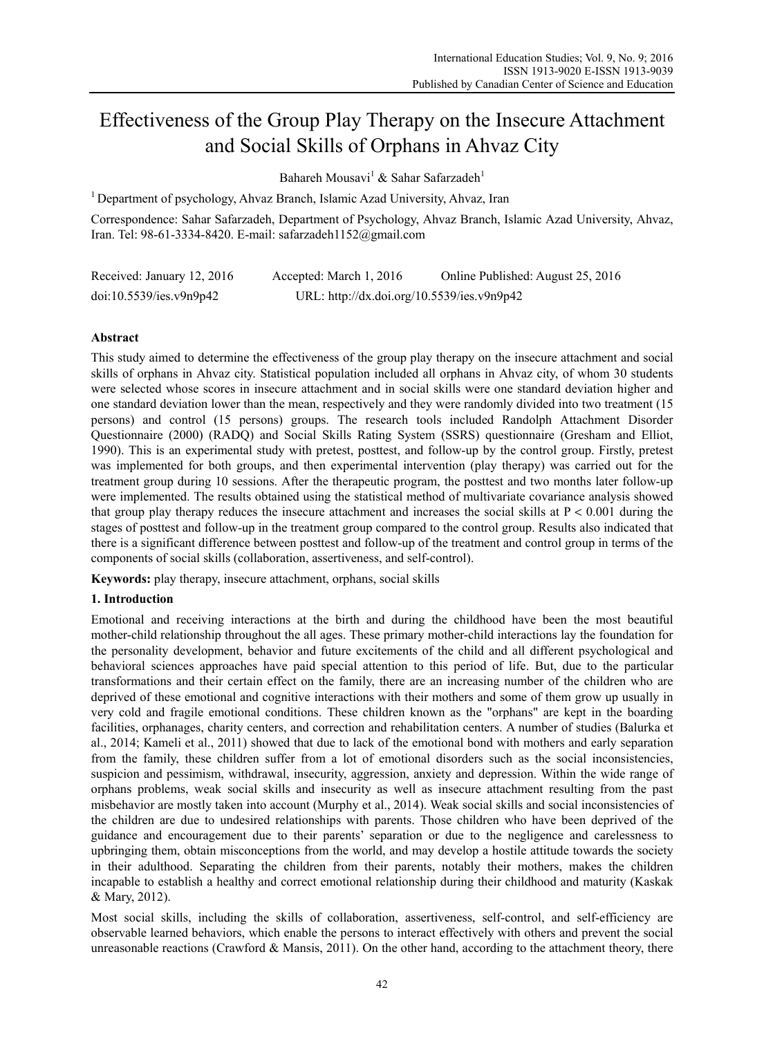# Effectiveness of the Group Play Therapy on the Insecure Attachment and Social Skills of Orphans in Ahvaz City

Bahareh Mousavi<sup>1</sup> & Sahar Safarzadeh<sup>1</sup>

<sup>1</sup> Department of psychology, Ahvaz Branch, Islamic Azad University, Ahvaz, Iran

Correspondence: Sahar Safarzadeh, Department of Psychology, Ahvaz Branch, Islamic Azad University, Ahvaz, Iran. Tel: 98-61-3334-8420. E-mail: safarzadeh1152@gmail.com

| Received: January 12, 2016 | Accepted: March 1, 2016                    | Online Published: August 25, 2016 |
|----------------------------|--------------------------------------------|-----------------------------------|
| doi:10.5539/ies.v9n9p42    | URL: http://dx.doi.org/10.5539/ies.v9n9p42 |                                   |

# **Abstract**

This study aimed to determine the effectiveness of the group play therapy on the insecure attachment and social skills of orphans in Ahvaz city. Statistical population included all orphans in Ahvaz city, of whom 30 students were selected whose scores in insecure attachment and in social skills were one standard deviation higher and one standard deviation lower than the mean, respectively and they were randomly divided into two treatment (15 persons) and control (15 persons) groups. The research tools included Randolph Attachment Disorder Questionnaire (2000) (RADQ) and Social Skills Rating System (SSRS) questionnaire (Gresham and Elliot, 1990). This is an experimental study with pretest, posttest, and follow-up by the control group. Firstly, pretest was implemented for both groups, and then experimental intervention (play therapy) was carried out for the treatment group during 10 sessions. After the therapeutic program, the posttest and two months later follow-up were implemented. The results obtained using the statistical method of multivariate covariance analysis showed that group play therapy reduces the insecure attachment and increases the social skills at  $P < 0.001$  during the stages of posttest and follow-up in the treatment group compared to the control group. Results also indicated that there is a significant difference between posttest and follow-up of the treatment and control group in terms of the components of social skills (collaboration, assertiveness, and self-control).

**Keywords:** play therapy, insecure attachment, orphans, social skills

# **1. Introduction**

Emotional and receiving interactions at the birth and during the childhood have been the most beautiful mother-child relationship throughout the all ages. These primary mother-child interactions lay the foundation for the personality development, behavior and future excitements of the child and all different psychological and behavioral sciences approaches have paid special attention to this period of life. But, due to the particular transformations and their certain effect on the family, there are an increasing number of the children who are deprived of these emotional and cognitive interactions with their mothers and some of them grow up usually in very cold and fragile emotional conditions. These children known as the "orphans" are kept in the boarding facilities, orphanages, charity centers, and correction and rehabilitation centers. A number of studies (Balurka et al., 2014; Kameli et al., 2011) showed that due to lack of the emotional bond with mothers and early separation from the family, these children suffer from a lot of emotional disorders such as the social inconsistencies, suspicion and pessimism, withdrawal, insecurity, aggression, anxiety and depression. Within the wide range of orphans problems, weak social skills and insecurity as well as insecure attachment resulting from the past misbehavior are mostly taken into account (Murphy et al., 2014). Weak social skills and social inconsistencies of the children are due to undesired relationships with parents. Those children who have been deprived of the guidance and encouragement due to their parents' separation or due to the negligence and carelessness to upbringing them, obtain misconceptions from the world, and may develop a hostile attitude towards the society in their adulthood. Separating the children from their parents, notably their mothers, makes the children incapable to establish a healthy and correct emotional relationship during their childhood and maturity (Kaskak & Mary, 2012).

Most social skills, including the skills of collaboration, assertiveness, self-control, and self-efficiency are observable learned behaviors, which enable the persons to interact effectively with others and prevent the social unreasonable reactions (Crawford & Mansis, 2011). On the other hand, according to the attachment theory, there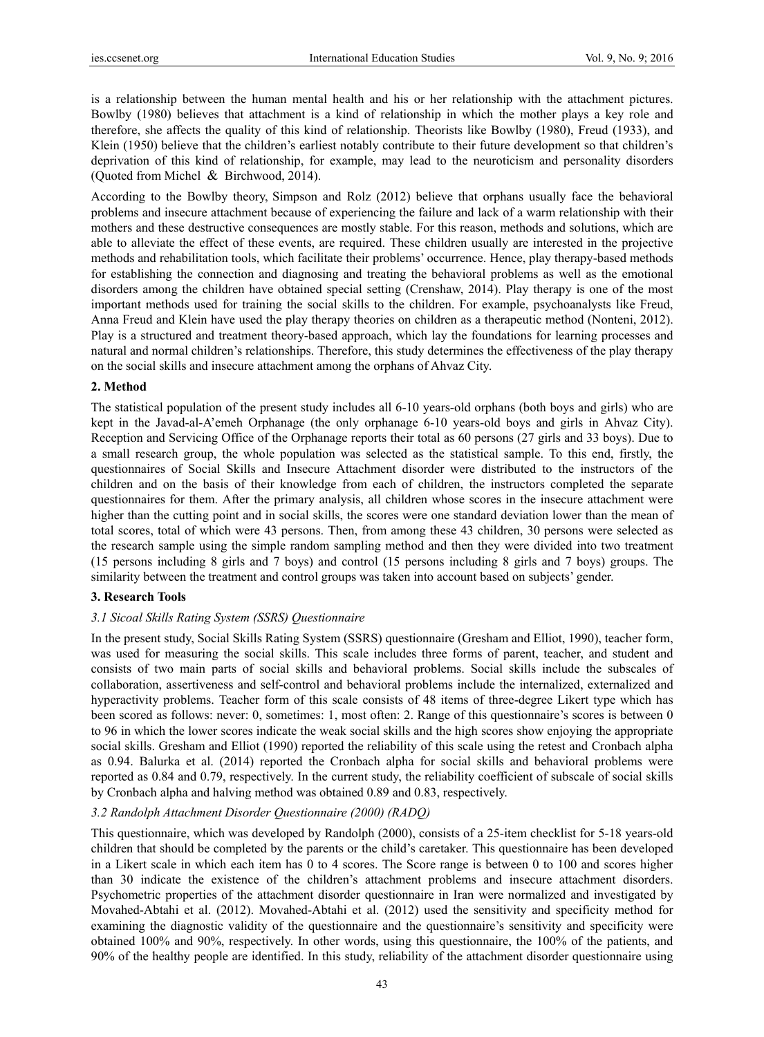is a relationship between the human mental health and his or her relationship with the attachment pictures. Bowlby (1980) believes that attachment is a kind of relationship in which the mother plays a key role and therefore, she affects the quality of this kind of relationship. Theorists like Bowlby (1980), Freud (1933), and Klein (1950) believe that the children's earliest notably contribute to their future development so that children's deprivation of this kind of relationship, for example, may lead to the neuroticism and personality disorders (Quoted from Michel & Birchwood, 2014).

According to the Bowlby theory, Simpson and Rolz (2012) believe that orphans usually face the behavioral problems and insecure attachment because of experiencing the failure and lack of a warm relationship with their mothers and these destructive consequences are mostly stable. For this reason, methods and solutions, which are able to alleviate the effect of these events, are required. These children usually are interested in the projective methods and rehabilitation tools, which facilitate their problems' occurrence. Hence, play therapy-based methods for establishing the connection and diagnosing and treating the behavioral problems as well as the emotional disorders among the children have obtained special setting (Crenshaw, 2014). Play therapy is one of the most important methods used for training the social skills to the children. For example, psychoanalysts like Freud, Anna Freud and Klein have used the play therapy theories on children as a therapeutic method (Nonteni, 2012). Play is a structured and treatment theory-based approach, which lay the foundations for learning processes and natural and normal children's relationships. Therefore, this study determines the effectiveness of the play therapy on the social skills and insecure attachment among the orphans of Ahvaz City.

#### **2. Method**

The statistical population of the present study includes all 6-10 years-old orphans (both boys and girls) who are kept in the Javad-al-A'emeh Orphanage (the only orphanage 6-10 years-old boys and girls in Ahvaz City). Reception and Servicing Office of the Orphanage reports their total as 60 persons (27 girls and 33 boys). Due to a small research group, the whole population was selected as the statistical sample. To this end, firstly, the questionnaires of Social Skills and Insecure Attachment disorder were distributed to the instructors of the children and on the basis of their knowledge from each of children, the instructors completed the separate questionnaires for them. After the primary analysis, all children whose scores in the insecure attachment were higher than the cutting point and in social skills, the scores were one standard deviation lower than the mean of total scores, total of which were 43 persons. Then, from among these 43 children, 30 persons were selected as the research sample using the simple random sampling method and then they were divided into two treatment (15 persons including 8 girls and 7 boys) and control (15 persons including 8 girls and 7 boys) groups. The similarity between the treatment and control groups was taken into account based on subjects' gender.

#### **3. Research Tools**

### *3.1 Sicoal Skills Rating System (SSRS) Questionnaire*

In the present study, Social Skills Rating System (SSRS) questionnaire (Gresham and Elliot, 1990), teacher form, was used for measuring the social skills. This scale includes three forms of parent, teacher, and student and consists of two main parts of social skills and behavioral problems. Social skills include the subscales of collaboration, assertiveness and self-control and behavioral problems include the internalized, externalized and hyperactivity problems. Teacher form of this scale consists of 48 items of three-degree Likert type which has been scored as follows: never: 0, sometimes: 1, most often: 2. Range of this questionnaire's scores is between 0 to 96 in which the lower scores indicate the weak social skills and the high scores show enjoying the appropriate social skills. Gresham and Elliot (1990) reported the reliability of this scale using the retest and Cronbach alpha as 0.94. Balurka et al. (2014) reported the Cronbach alpha for social skills and behavioral problems were reported as 0.84 and 0.79, respectively. In the current study, the reliability coefficient of subscale of social skills by Cronbach alpha and halving method was obtained 0.89 and 0.83, respectively.

#### *3.2 Randolph Attachment Disorder Questionnaire (2000) (RADQ)*

This questionnaire, which was developed by Randolph (2000), consists of a 25-item checklist for 5-18 years-old children that should be completed by the parents or the child's caretaker. This questionnaire has been developed in a Likert scale in which each item has 0 to 4 scores. The Score range is between 0 to 100 and scores higher than 30 indicate the existence of the children's attachment problems and insecure attachment disorders. Psychometric properties of the attachment disorder questionnaire in Iran were normalized and investigated by Movahed-Abtahi et al. (2012). Movahed-Abtahi et al. (2012) used the sensitivity and specificity method for examining the diagnostic validity of the questionnaire and the questionnaire's sensitivity and specificity were obtained 100% and 90%, respectively. In other words, using this questionnaire, the 100% of the patients, and 90% of the healthy people are identified. In this study, reliability of the attachment disorder questionnaire using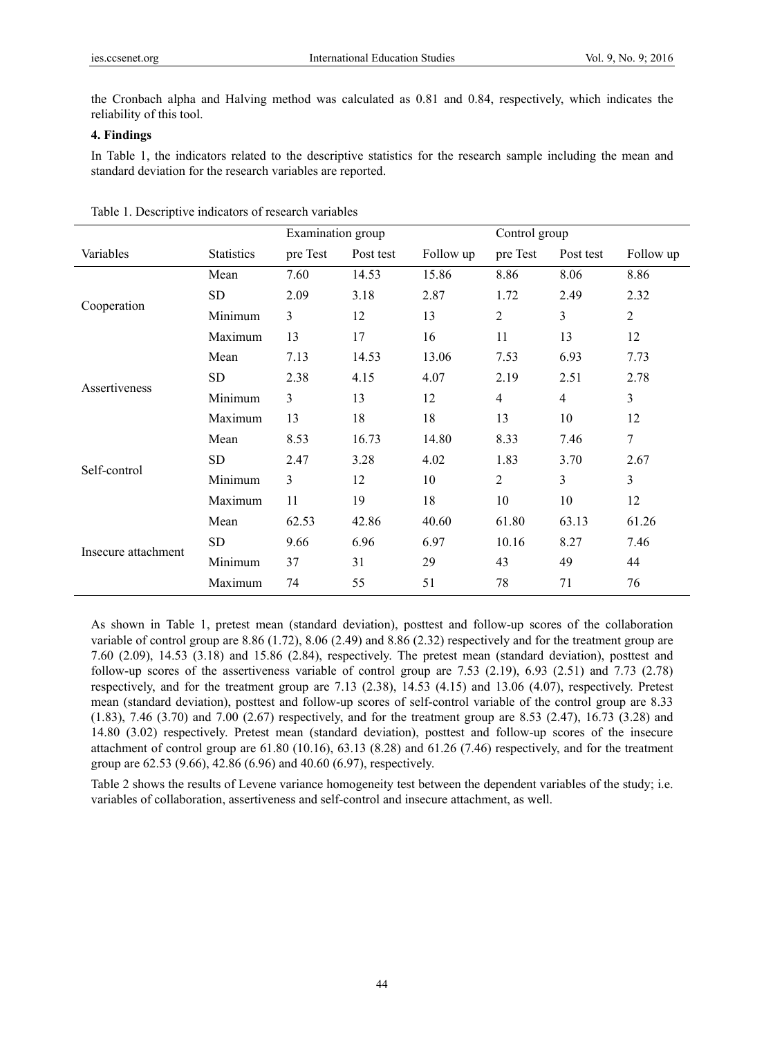the Cronbach alpha and Halving method was calculated as 0.81 and 0.84, respectively, which indicates the reliability of this tool.

# **4. Findings**

In Table 1, the indicators related to the descriptive statistics for the research sample including the mean and standard deviation for the research variables are reported.

|                     |                   | Examination group |           |           | Control group  |                         |                         |
|---------------------|-------------------|-------------------|-----------|-----------|----------------|-------------------------|-------------------------|
| Variables           | <b>Statistics</b> | pre Test          | Post test | Follow up | pre Test       | Post test               | Follow up               |
|                     | Mean              | 7.60              | 14.53     | 15.86     | 8.86           | 8.06                    | 8.86                    |
| Cooperation         | <b>SD</b>         | 2.09              | 3.18      | 2.87      | 1.72           | 2.49                    | 2.32                    |
|                     | Minimum           | 3                 | 12        | 13        | $\overline{2}$ | 3                       | $\overline{2}$          |
|                     | Maximum           | 13                | 17        | 16        | 11             | 13                      | 12                      |
|                     | Mean              | 7.13              | 14.53     | 13.06     | 7.53           | 6.93                    | 7.73                    |
| Assertiveness       | <b>SD</b>         | 2.38              | 4.15      | 4.07      | 2.19           | 2.51                    | 2.78                    |
|                     | Minimum           | 3                 | 13        | 12        | $\overline{4}$ | $\overline{4}$          | $\overline{3}$          |
|                     | Maximum           | 13                | 18        | 18        | 13             | 10                      | 12                      |
|                     | Mean              | 8.53              | 16.73     | 14.80     | 8.33           | 7.46                    | 7                       |
| Self-control        | <b>SD</b>         | 2.47              | 3.28      | 4.02      | 1.83           | 3.70                    | 2.67                    |
|                     | Minimum           | 3                 | 12        | 10        | $\overline{2}$ | $\overline{\mathbf{3}}$ | $\overline{\mathbf{3}}$ |
|                     | Maximum           | 11                | 19        | 18        | 10             | 10                      | 12                      |
|                     | Mean              | 62.53             | 42.86     | 40.60     | 61.80          | 63.13                   | 61.26                   |
| Insecure attachment | <b>SD</b>         | 9.66              | 6.96      | 6.97      | 10.16          | 8.27                    | 7.46                    |
|                     | Minimum           | 37                | 31        | 29        | 43             | 49                      | 44                      |
|                     | Maximum           | 74                | 55        | 51        | 78             | 71                      | 76                      |

Table 1. Descriptive indicators of research variables

As shown in Table 1, pretest mean (standard deviation), posttest and follow-up scores of the collaboration variable of control group are 8.86 (1.72), 8.06 (2.49) and 8.86 (2.32) respectively and for the treatment group are 7.60 (2.09), 14.53 (3.18) and 15.86 (2.84), respectively. The pretest mean (standard deviation), posttest and follow-up scores of the assertiveness variable of control group are 7.53 (2.19), 6.93 (2.51) and 7.73 (2.78) respectively, and for the treatment group are 7.13 (2.38), 14.53 (4.15) and 13.06 (4.07), respectively. Pretest mean (standard deviation), posttest and follow-up scores of self-control variable of the control group are 8.33 (1.83), 7.46 (3.70) and 7.00 (2.67) respectively, and for the treatment group are 8.53 (2.47), 16.73 (3.28) and 14.80 (3.02) respectively. Pretest mean (standard deviation), posttest and follow-up scores of the insecure attachment of control group are 61.80 (10.16), 63.13 (8.28) and 61.26 (7.46) respectively, and for the treatment group are 62.53 (9.66), 42.86 (6.96) and 40.60 (6.97), respectively.

Table 2 shows the results of Levene variance homogeneity test between the dependent variables of the study; i.e. variables of collaboration, assertiveness and self-control and insecure attachment, as well.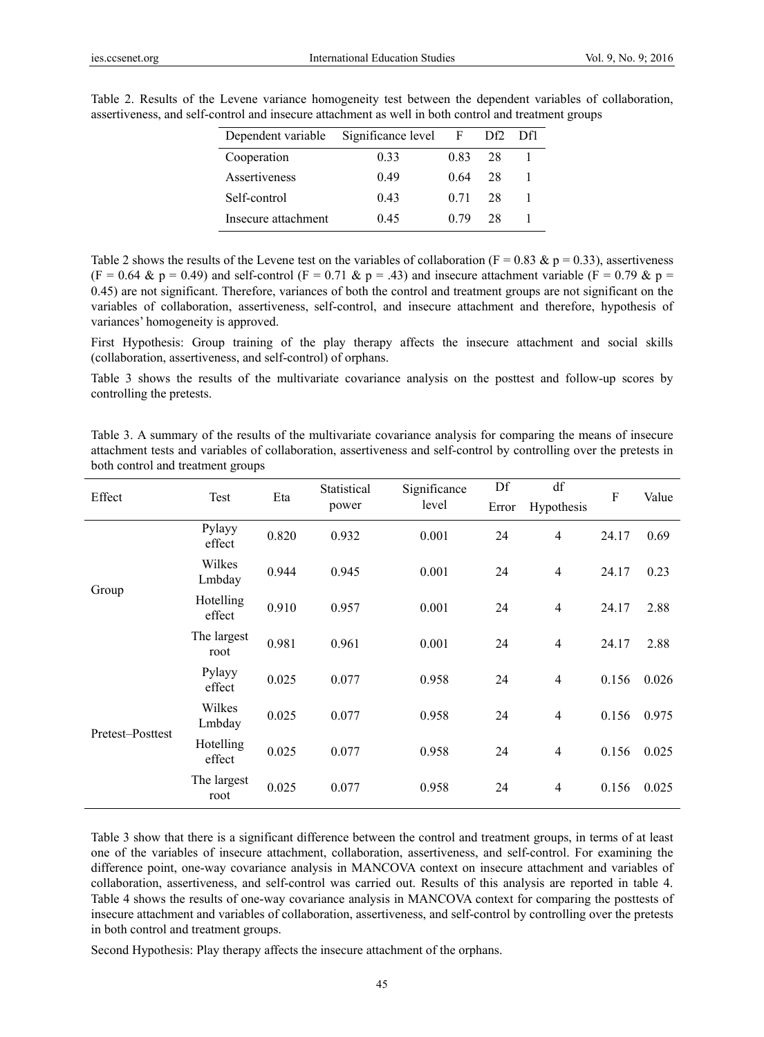| Dependent variable  | Significance level F |       | Df2 | Df1 |
|---------------------|----------------------|-------|-----|-----|
| Cooperation         | 0.33                 | 0.83  | 28  |     |
| Assertiveness       | 0.49                 | 0.64  | 28  |     |
| Self-control        | 0.43                 | 0.71  | 28  |     |
| Insecure attachment | 0.45                 | () 79 | 28  |     |

Table 2. Results of the Levene variance homogeneity test between the dependent variables of collaboration, assertiveness, and self-control and insecure attachment as well in both control and treatment groups

Table 2 shows the results of the Levene test on the variables of collaboration (F = 0.83  $\&$  p = 0.33), assertiveness (F = 0.64 & p = 0.49) and self-control (F = 0.71 & p = .43) and insecure attachment variable (F = 0.79 & p = 0.45) are not significant. Therefore, variances of both the control and treatment groups are not significant on the variables of collaboration, assertiveness, self-control, and insecure attachment and therefore, hypothesis of variances' homogeneity is approved.

First Hypothesis: Group training of the play therapy affects the insecure attachment and social skills (collaboration, assertiveness, and self-control) of orphans.

Table 3 shows the results of the multivariate covariance analysis on the posttest and follow-up scores by controlling the pretests.

| Table 3. A summary of the results of the multivariate covariance analysis for comparing the means of insecure       |  |
|---------------------------------------------------------------------------------------------------------------------|--|
| attachment tests and variables of collaboration, assertiveness and self-control by controlling over the pretests in |  |
| both control and treatment groups                                                                                   |  |

| Effect           | Test                | Eta   | Statistical<br>power | Significance<br>level | Df<br>Error | df<br>Hypothesis | $\boldsymbol{F}$ | Value |
|------------------|---------------------|-------|----------------------|-----------------------|-------------|------------------|------------------|-------|
| Group            | Pylayy<br>effect    | 0.820 | 0.932                | 0.001                 | 24          | $\overline{4}$   | 24.17            | 0.69  |
|                  | Wilkes<br>Lmbday    | 0.944 | 0.945                | 0.001                 | 24          | $\overline{4}$   | 24.17            | 0.23  |
|                  | Hotelling<br>effect | 0.910 | 0.957                | 0.001                 | 24          | $\overline{4}$   | 24.17            | 2.88  |
|                  | The largest<br>root | 0.981 | 0.961                | 0.001                 | 24          | $\overline{4}$   | 24.17            | 2.88  |
| Pretest-Posttest | Pylayy<br>effect    | 0.025 | 0.077                | 0.958                 | 24          | $\overline{4}$   | 0.156            | 0.026 |
|                  | Wilkes<br>Lmbday    | 0.025 | 0.077                | 0.958                 | 24          | $\overline{4}$   | 0.156            | 0.975 |
|                  | Hotelling<br>effect | 0.025 | 0.077                | 0.958                 | 24          | $\overline{4}$   | 0.156            | 0.025 |
|                  | The largest<br>root | 0.025 | 0.077                | 0.958                 | 24          | $\overline{4}$   | 0.156            | 0.025 |

Table 3 show that there is a significant difference between the control and treatment groups, in terms of at least one of the variables of insecure attachment, collaboration, assertiveness, and self-control. For examining the difference point, one-way covariance analysis in MANCOVA context on insecure attachment and variables of collaboration, assertiveness, and self-control was carried out. Results of this analysis are reported in table 4. Table 4 shows the results of one-way covariance analysis in MANCOVA context for comparing the posttests of insecure attachment and variables of collaboration, assertiveness, and self-control by controlling over the pretests in both control and treatment groups.

Second Hypothesis: Play therapy affects the insecure attachment of the orphans.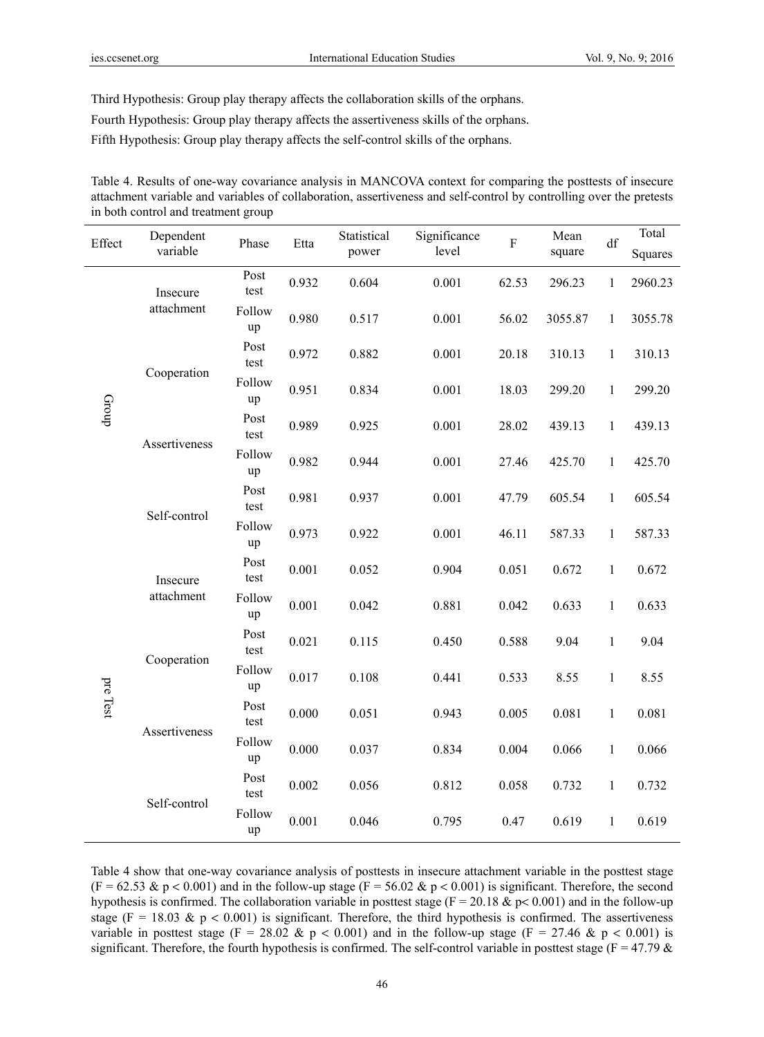Third Hypothesis: Group play therapy affects the collaboration skills of the orphans.

Fourth Hypothesis: Group play therapy affects the assertiveness skills of the orphans.

Fifth Hypothesis: Group play therapy affects the self-control skills of the orphans.

Table 4. Results of one-way covariance analysis in MANCOVA context for comparing the posttests of insecure attachment variable and variables of collaboration, assertiveness and self-control by controlling over the pretests in both control and treatment group

| Effect   | Dependent<br>variable | Phase        | Etta  | Statistical<br>power | Significance<br>level | $\rm F$ | Mean<br>square | df           | Total<br>Squares |
|----------|-----------------------|--------------|-------|----------------------|-----------------------|---------|----------------|--------------|------------------|
| Group    | Insecure              | Post<br>test | 0.932 | 0.604                | 0.001                 | 62.53   | 296.23         | $\mathbf{1}$ | 2960.23          |
|          | attachment            | Follow<br>up | 0.980 | 0.517                | 0.001                 | 56.02   | 3055.87        | $\mathbf{1}$ | 3055.78          |
|          | Cooperation           | Post<br>test | 0.972 | 0.882                | 0.001                 | 20.18   | 310.13         | $\mathbf{1}$ | 310.13           |
|          |                       | Follow<br>up | 0.951 | 0.834                | 0.001                 | 18.03   | 299.20         | $\mathbf{1}$ | 299.20           |
|          | Assertiveness         | Post<br>test | 0.989 | 0.925                | 0.001                 | 28.02   | 439.13         | $\,1$        | 439.13           |
|          |                       | Follow<br>up | 0.982 | 0.944                | 0.001                 | 27.46   | 425.70         | $\,1$        | 425.70           |
|          | Self-control          | Post<br>test | 0.981 | 0.937                | 0.001                 | 47.79   | 605.54         | $\mathbf{1}$ | 605.54           |
|          |                       | Follow<br>up | 0.973 | 0.922                | 0.001                 | 46.11   | 587.33         | $\mathbf{1}$ | 587.33           |
| pre Test | Insecure              | Post<br>test | 0.001 | 0.052                | 0.904                 | 0.051   | 0.672          | $\,1$        | 0.672            |
|          | attachment            | Follow<br>up | 0.001 | 0.042                | 0.881                 | 0.042   | 0.633          | $\,1$        | 0.633            |
|          | Cooperation           | Post<br>test | 0.021 | 0.115                | 0.450                 | 0.588   | 9.04           | $\,1$        | 9.04             |
|          |                       | Follow<br>up | 0.017 | 0.108                | 0.441                 | 0.533   | 8.55           | $\mathbf{1}$ | 8.55             |
|          |                       | Post<br>test | 0.000 | 0.051                | 0.943                 | 0.005   | 0.081          | $\,1$        | 0.081            |
|          | Assertiveness         | Follow<br>up | 0.000 | 0.037                | 0.834                 | 0.004   | 0.066          | $\mathbf{1}$ | 0.066            |
|          | Self-control          | Post<br>test | 0.002 | 0.056                | 0.812                 | 0.058   | 0.732          | $\mathbf{1}$ | 0.732            |
|          |                       | Follow<br>up | 0.001 | 0.046                | 0.795                 | 0.47    | 0.619          | $\mathbf{1}$ | 0.619            |

Table 4 show that one-way covariance analysis of posttests in insecure attachment variable in the posttest stage (F = 62.53 & p < 0.001) and in the follow-up stage (F = 56.02 & p < 0.001) is significant. Therefore, the second hypothesis is confirmed. The collaboration variable in posttest stage (F = 20.18 & p< 0.001) and in the follow-up stage (F = 18.03 & p < 0.001) is significant. Therefore, the third hypothesis is confirmed. The assertiveness variable in posttest stage (F = 28.02 & p < 0.001) and in the follow-up stage (F = 27.46 & p < 0.001) is significant. Therefore, the fourth hypothesis is confirmed. The self-control variable in posttest stage ( $F = 47.79 \&$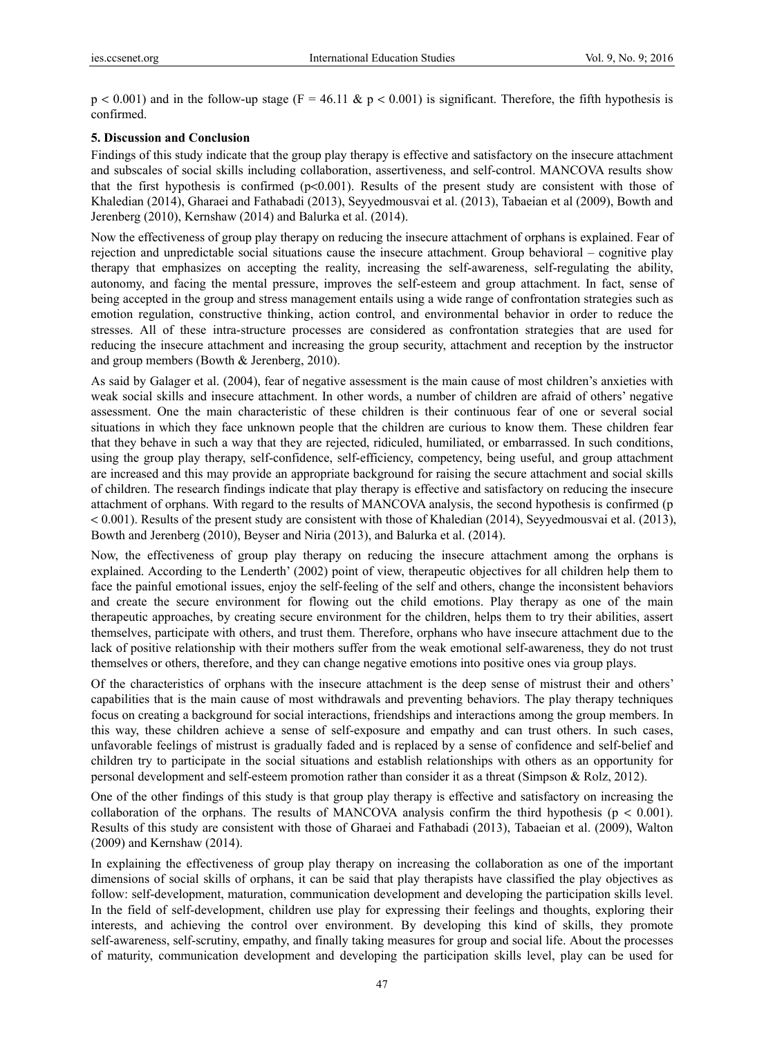$p < 0.001$ ) and in the follow-up stage (F = 46.11 &  $p < 0.001$ ) is significant. Therefore, the fifth hypothesis is confirmed.

## **5. Discussion and Conclusion**

Findings of this study indicate that the group play therapy is effective and satisfactory on the insecure attachment and subscales of social skills including collaboration, assertiveness, and self-control. MANCOVA results show that the first hypothesis is confirmed  $(p<0.001)$ . Results of the present study are consistent with those of Khaledian (2014), Gharaei and Fathabadi (2013), Seyyedmousvai et al. (2013), Tabaeian et al (2009), Bowth and Jerenberg (2010), Kernshaw (2014) and Balurka et al. (2014).

Now the effectiveness of group play therapy on reducing the insecure attachment of orphans is explained. Fear of rejection and unpredictable social situations cause the insecure attachment. Group behavioral – cognitive play therapy that emphasizes on accepting the reality, increasing the self-awareness, self-regulating the ability, autonomy, and facing the mental pressure, improves the self-esteem and group attachment. In fact, sense of being accepted in the group and stress management entails using a wide range of confrontation strategies such as emotion regulation, constructive thinking, action control, and environmental behavior in order to reduce the stresses. All of these intra-structure processes are considered as confrontation strategies that are used for reducing the insecure attachment and increasing the group security, attachment and reception by the instructor and group members (Bowth & Jerenberg, 2010).

As said by Galager et al. (2004), fear of negative assessment is the main cause of most children's anxieties with weak social skills and insecure attachment. In other words, a number of children are afraid of others' negative assessment. One the main characteristic of these children is their continuous fear of one or several social situations in which they face unknown people that the children are curious to know them. These children fear that they behave in such a way that they are rejected, ridiculed, humiliated, or embarrassed. In such conditions, using the group play therapy, self-confidence, self-efficiency, competency, being useful, and group attachment are increased and this may provide an appropriate background for raising the secure attachment and social skills of children. The research findings indicate that play therapy is effective and satisfactory on reducing the insecure attachment of orphans. With regard to the results of MANCOVA analysis, the second hypothesis is confirmed (p < 0.001). Results of the present study are consistent with those of Khaledian (2014), Seyyedmousvai et al. (2013), Bowth and Jerenberg (2010), Beyser and Niria (2013), and Balurka et al. (2014).

Now, the effectiveness of group play therapy on reducing the insecure attachment among the orphans is explained. According to the Lenderth' (2002) point of view, therapeutic objectives for all children help them to face the painful emotional issues, enjoy the self-feeling of the self and others, change the inconsistent behaviors and create the secure environment for flowing out the child emotions. Play therapy as one of the main therapeutic approaches, by creating secure environment for the children, helps them to try their abilities, assert themselves, participate with others, and trust them. Therefore, orphans who have insecure attachment due to the lack of positive relationship with their mothers suffer from the weak emotional self-awareness, they do not trust themselves or others, therefore, and they can change negative emotions into positive ones via group plays.

Of the characteristics of orphans with the insecure attachment is the deep sense of mistrust their and others' capabilities that is the main cause of most withdrawals and preventing behaviors. The play therapy techniques focus on creating a background for social interactions, friendships and interactions among the group members. In this way, these children achieve a sense of self-exposure and empathy and can trust others. In such cases, unfavorable feelings of mistrust is gradually faded and is replaced by a sense of confidence and self-belief and children try to participate in the social situations and establish relationships with others as an opportunity for personal development and self-esteem promotion rather than consider it as a threat (Simpson & Rolz, 2012).

One of the other findings of this study is that group play therapy is effective and satisfactory on increasing the collaboration of the orphans. The results of MANCOVA analysis confirm the third hypothesis ( $p < 0.001$ ). Results of this study are consistent with those of Gharaei and Fathabadi (2013), Tabaeian et al. (2009), Walton (2009) and Kernshaw (2014).

In explaining the effectiveness of group play therapy on increasing the collaboration as one of the important dimensions of social skills of orphans, it can be said that play therapists have classified the play objectives as follow: self-development, maturation, communication development and developing the participation skills level. In the field of self-development, children use play for expressing their feelings and thoughts, exploring their interests, and achieving the control over environment. By developing this kind of skills, they promote self-awareness, self-scrutiny, empathy, and finally taking measures for group and social life. About the processes of maturity, communication development and developing the participation skills level, play can be used for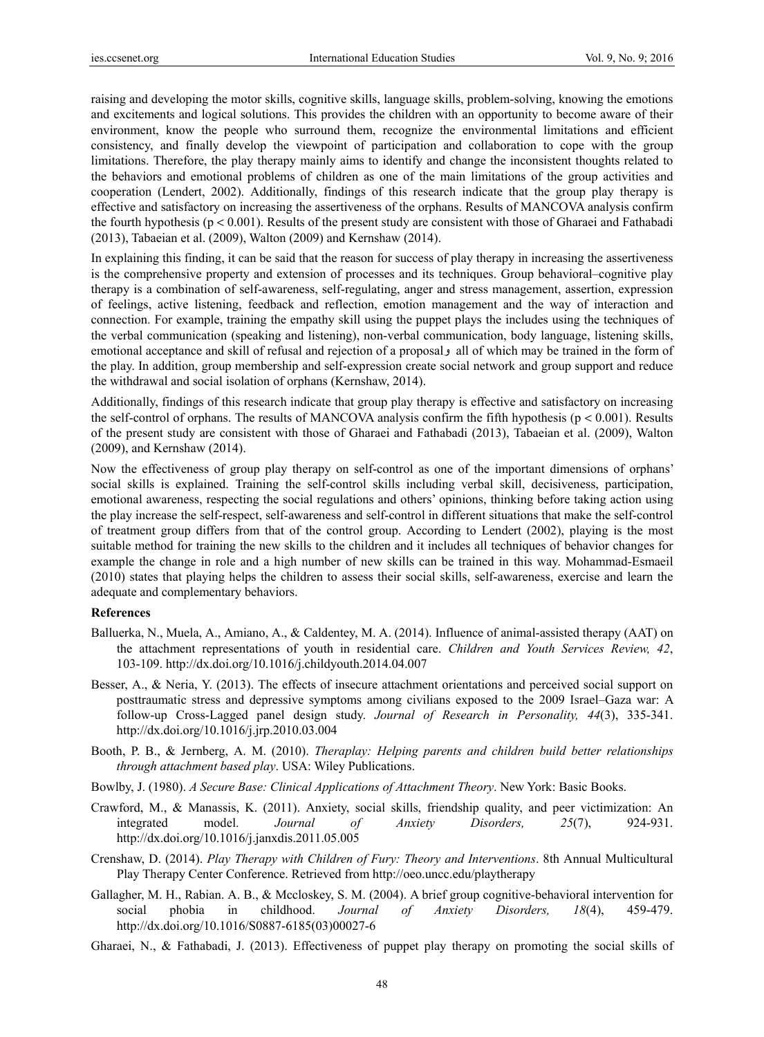raising and developing the motor skills, cognitive skills, language skills, problem-solving, knowing the emotions and excitements and logical solutions. This provides the children with an opportunity to become aware of their environment, know the people who surround them, recognize the environmental limitations and efficient consistency, and finally develop the viewpoint of participation and collaboration to cope with the group limitations. Therefore, the play therapy mainly aims to identify and change the inconsistent thoughts related to the behaviors and emotional problems of children as one of the main limitations of the group activities and cooperation (Lendert, 2002). Additionally, findings of this research indicate that the group play therapy is effective and satisfactory on increasing the assertiveness of the orphans. Results of MANCOVA analysis confirm the fourth hypothesis  $(p < 0.001)$ . Results of the present study are consistent with those of Gharaei and Fathabadi (2013), Tabaeian et al. (2009), Walton (2009) and Kernshaw (2014).

In explaining this finding, it can be said that the reason for success of play therapy in increasing the assertiveness is the comprehensive property and extension of processes and its techniques. Group behavioral–cognitive play therapy is a combination of self-awareness, self-regulating, anger and stress management, assertion, expression of feelings, active listening, feedback and reflection, emotion management and the way of interaction and connection. For example, training the empathy skill using the puppet plays the includes using the techniques of the verbal communication (speaking and listening), non-verbal communication, body language, listening skills, emotional acceptance and skill of refusal and rejection of a proposalو all of which may be trained in the form of the play. In addition, group membership and self-expression create social network and group support and reduce the withdrawal and social isolation of orphans (Kernshaw, 2014).

Additionally, findings of this research indicate that group play therapy is effective and satisfactory on increasing the self-control of orphans. The results of MANCOVA analysis confirm the fifth hypothesis ( $p < 0.001$ ). Results of the present study are consistent with those of Gharaei and Fathabadi (2013), Tabaeian et al. (2009), Walton (2009), and Kernshaw (2014).

Now the effectiveness of group play therapy on self-control as one of the important dimensions of orphans' social skills is explained. Training the self-control skills including verbal skill, decisiveness, participation, emotional awareness, respecting the social regulations and others' opinions, thinking before taking action using the play increase the self-respect, self-awareness and self-control in different situations that make the self-control of treatment group differs from that of the control group. According to Lendert (2002), playing is the most suitable method for training the new skills to the children and it includes all techniques of behavior changes for example the change in role and a high number of new skills can be trained in this way. Mohammad-Esmaeil (2010) states that playing helps the children to assess their social skills, self-awareness, exercise and learn the adequate and complementary behaviors.

## **References**

- Balluerka, N., Muela, A., Amiano, A., & Caldentey, M. A. (2014). Influence of animal-assisted therapy (AAT) on the attachment representations of youth in residential care. *Children and Youth Services Review, 42*, 103-109. http://dx.doi.org/10.1016/j.childyouth.2014.04.007
- Besser, A., & Neria, Y. (2013). The effects of insecure attachment orientations and perceived social support on posttraumatic stress and depressive symptoms among civilians exposed to the 2009 Israel–Gaza war: A follow-up Cross-Lagged panel design study. *Journal of Research in Personality, 44*(3), 335-341. http://dx.doi.org/10.1016/j.jrp.2010.03.004
- Booth, P. B., & Jernberg, A. M. (2010). *Theraplay: Helping parents and children build better relationships through attachment based play*. USA: Wiley Publications.
- Bowlby, J. (1980). *A Secure Base: Clinical Applications of Attachment Theory*. New York: Basic Books.
- Crawford, M., & Manassis, K. (2011). Anxiety, social skills, friendship quality, and peer victimization: An integrated model. *Journal of Anxiety Disorders, 25*(7), 924-931. http://dx.doi.org/10.1016/j.janxdis.2011.05.005
- Crenshaw, D. (2014). *Play Therapy with Children of Fury: Theory and Interventions*. 8th Annual Multicultural Play Therapy Center Conference. Retrieved from http://oeo.uncc.edu/playtherapy
- Gallagher, M. H., Rabian. A. B., & Mccloskey, S. M. (2004). A brief group cognitive-behavioral intervention for social phobia in childhood. *Journal of Anxiety Disorders, 18*(4), 459-479. http://dx.doi.org/10.1016/S0887-6185(03)00027-6
- Gharaei, N., & Fathabadi, J. (2013). Effectiveness of puppet play therapy on promoting the social skills of